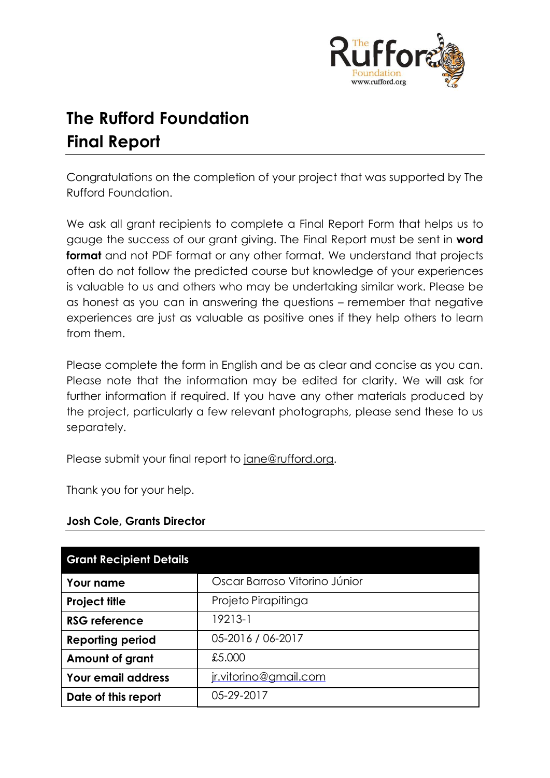

# **The Rufford Foundation Final Report**

Congratulations on the completion of your project that was supported by The Rufford Foundation.

We ask all grant recipients to complete a Final Report Form that helps us to gauge the success of our grant giving. The Final Report must be sent in **word format** and not PDF format or any other format. We understand that projects often do not follow the predicted course but knowledge of your experiences is valuable to us and others who may be undertaking similar work. Please be as honest as you can in answering the questions – remember that negative experiences are just as valuable as positive ones if they help others to learn from them.

Please complete the form in English and be as clear and concise as you can. Please note that the information may be edited for clarity. We will ask for further information if required. If you have any other materials produced by the project, particularly a few relevant photographs, please send these to us separately.

Please submit your final report to [jane@rufford.org.](mailto:jane@rufford.org)

Thank you for your help.

| <b>Grant Recipient Details</b> |                               |  |  |  |  |
|--------------------------------|-------------------------------|--|--|--|--|
| Your name                      | Oscar Barroso Vitorino Júnior |  |  |  |  |
| <b>Project title</b>           | Projeto Pirapitinga           |  |  |  |  |
| <b>RSG reference</b>           | 19213-1                       |  |  |  |  |
| <b>Reporting period</b>        | 05-2016 / 06-2017             |  |  |  |  |
| Amount of grant                | £5,000                        |  |  |  |  |
| <b>Your email address</b>      | jr.vitorino@gmail.com         |  |  |  |  |
| Date of this report            | 05-29-2017                    |  |  |  |  |

# **Josh Cole, Grants Director**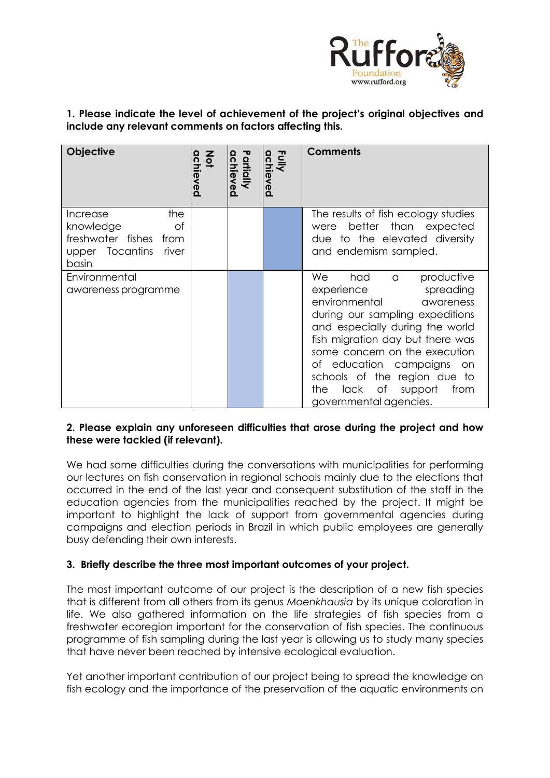

**1. Please indicate the level of achievement of the project's original objectives and include any relevant comments on factors affecting this.** 

| <b>Objective</b>                                                                                  | $rac{z}{2}$<br>chieved | Partially<br>eved | Fully<br>achieved | <b>Comments</b>                                                                                                                                                                                                                                                                                                                                                 |
|---------------------------------------------------------------------------------------------------|------------------------|-------------------|-------------------|-----------------------------------------------------------------------------------------------------------------------------------------------------------------------------------------------------------------------------------------------------------------------------------------------------------------------------------------------------------------|
| the<br>Increase<br>knowledge<br>of<br>freshwater fishes from<br>upper Tocantins<br>river<br>basin |                        |                   |                   | The results of fish ecology studies<br>better than expected<br>were<br>due to the elevated diversity<br>and endemism sampled.                                                                                                                                                                                                                                   |
| Environmental<br>awareness programme                                                              |                        |                   |                   | We<br>had<br>productive<br>a<br>experience<br>spreading<br>environmental<br>awareness<br>during our sampling expeditions<br>and especially during the world<br>fish migration day but there was<br>some concern on the execution<br>of education campaigns<br>on<br>schools of the region due to<br>lack of<br>support<br>from<br>the<br>governmental agencies. |

#### **2. Please explain any unforeseen difficulties that arose during the project and how these were tackled (if relevant).**

We had some difficulties during the conversations with municipalities for performing our lectures on fish conservation in regional schools mainly due to the elections that occurred in the end of the last year and consequent substitution of the staff in the education agencies from the municipalities reached by the project. It might be important to highlight the lack of support from governmental agencies during campaigns and election periods in Brazil in which public employees are generally busy defending their own interests.

# **3. Briefly describe the three most important outcomes of your project.**

The most important outcome of our project is the description of a new fish species that is different from all others from its genus *Moenkhausia* by its unique coloration in life. We also gathered information on the life strategies of fish species from a freshwater ecoregion important for the conservation of fish species. The continuous programme of fish sampling during the last year is allowing us to study many species that have never been reached by intensive ecological evaluation.

Yet another important contribution of our project being to spread the knowledge on fish ecology and the importance of the preservation of the aquatic environments on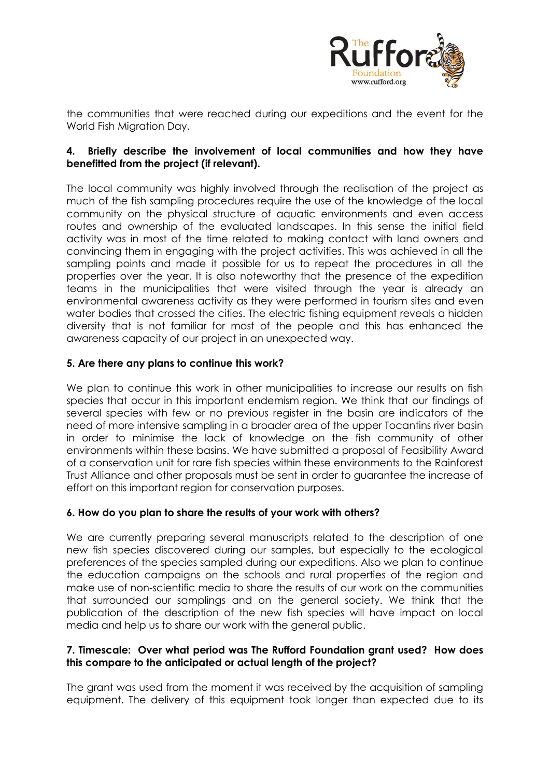

the communities that were reached during our expeditions and the event for the World Fish Migration Day.

# **4. Briefly describe the involvement of local communities and how they have benefitted from the project (if relevant).**

The local community was highly involved through the realisation of the project as much of the fish sampling procedures require the use of the knowledge of the local community on the physical structure of aquatic environments and even access routes and ownership of the evaluated landscapes. In this sense the initial field activity was in most of the time related to making contact with land owners and convincing them in engaging with the project activities. This was achieved in all the sampling points and made it possible for us to repeat the procedures in all the properties over the year. It is also noteworthy that the presence of the expedition teams in the municipalities that were visited through the year is already an environmental awareness activity as they were performed in tourism sites and even water bodies that crossed the cities. The electric fishing equipment reveals a hidden diversity that is not familiar for most of the people and this has enhanced the awareness capacity of our project in an unexpected way.

# **5. Are there any plans to continue this work?**

We plan to continue this work in other municipalities to increase our results on fish species that occur in this important endemism region. We think that our findings of several species with few or no previous register in the basin are indicators of the need of more intensive sampling in a broader area of the upper Tocantins river basin in order to minimise the lack of knowledge on the fish community of other environments within these basins. We have submitted a proposal of Feasibility Award of a conservation unit for rare fish species within these environments to the Rainforest Trust Alliance and other proposals must be sent in order to guarantee the increase of effort on this important region for conservation purposes.

#### **6. How do you plan to share the results of your work with others?**

We are currently preparing several manuscripts related to the description of one new fish species discovered during our samples, but especially to the ecological preferences of the species sampled during our expeditions. Also we plan to continue the education campaigns on the schools and rural properties of the region and make use of non-scientific media to share the results of our work on the communities that surrounded our samplings and on the general society. We think that the publication of the description of the new fish species will have impact on local media and help us to share our work with the general public.

#### **7. Timescale: Over what period was The Rufford Foundation grant used? How does this compare to the anticipated or actual length of the project?**

The grant was used from the moment it was received by the acquisition of sampling equipment. The delivery of this equipment took longer than expected due to its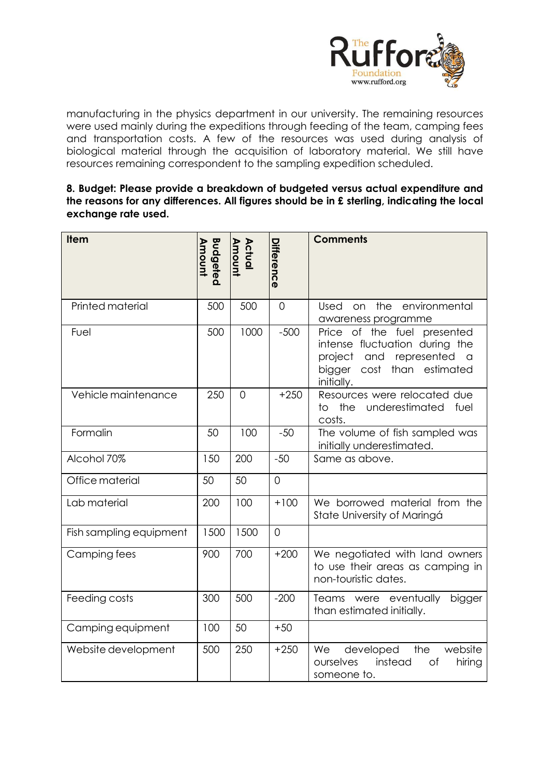

manufacturing in the physics department in our university. The remaining resources were used mainly during the expeditions through feeding of the team, camping fees and transportation costs. A few of the resources was used during analysis of biological material through the acquisition of laboratory material. We still have resources remaining correspondent to the sampling expedition scheduled.

#### **8. Budget: Please provide a breakdown of budgeted versus actual expenditure and the reasons for any differences. All figures should be in £ sterling, indicating the local exchange rate used.**

| <b>Item</b>             | <b>Budgeted</b><br>Amount | Actual<br>Amount | Difference     | <b>Comments</b>                                                                                                                                  |
|-------------------------|---------------------------|------------------|----------------|--------------------------------------------------------------------------------------------------------------------------------------------------|
| Printed material        | 500                       | 500              | $\overline{0}$ | the<br>environmental<br>Used<br>on<br>awareness programme                                                                                        |
| Fuel                    | 500                       | 1000             | $-500$         | Price of the fuel presented<br>intense fluctuation during the<br>project and represented<br>$\alpha$<br>bigger cost than estimated<br>initially. |
| Vehicle maintenance     | 250                       | $\Omega$         | $+250$         | Resources were relocated due<br>underestimated fuel<br>the<br>to.<br>costs.                                                                      |
| Formalin                | 50                        | 100              | $-50$          | The volume of fish sampled was<br>initially underestimated.                                                                                      |
| Alcohol 70%             | 150                       | 200              | $-50$          | Same as above.                                                                                                                                   |
| Office material         | 50                        | 50               | $\overline{0}$ |                                                                                                                                                  |
| Lab material            | 200                       | 100              | $+100$         | We borrowed material from the<br>State University of Maringá                                                                                     |
| Fish sampling equipment | 1500                      | 1500             | $\mathbf 0$    |                                                                                                                                                  |
| Camping fees            | 900                       | 700              | $+200$         | We negotiated with land owners<br>to use their areas as camping in<br>non-touristic dates.                                                       |
| Feeding costs           | 300                       | 500              | $-200$         | Teams were eventually<br>bigger<br>than estimated initially.                                                                                     |
| Camping equipment       | 100                       | 50               | $+50$          |                                                                                                                                                  |
| Website development     | 500                       | 250              | $+250$         | developed<br>the<br>website<br>We<br>instead<br>ourselves<br>оf<br>hiring<br>someone to.                                                         |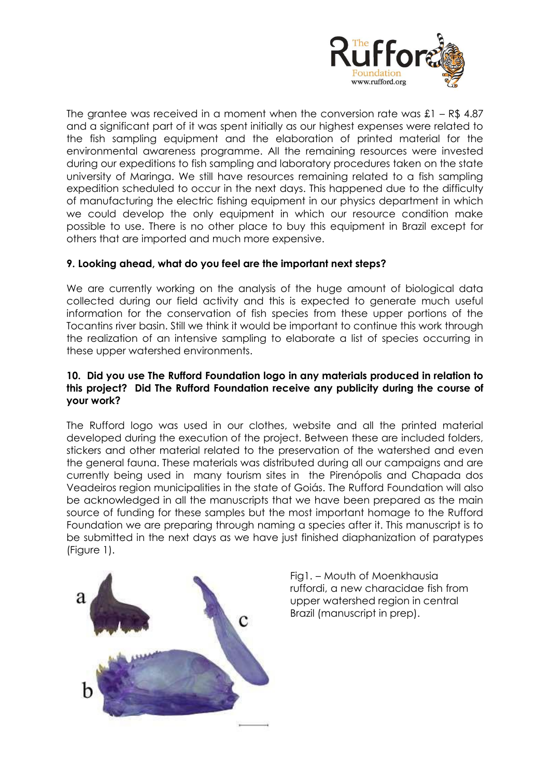

The grantee was received in a moment when the conversion rate was  $\pounds1 - R\pounds 4.87$ and a significant part of it was spent initially as our highest expenses were related to the fish sampling equipment and the elaboration of printed material for the environmental awareness programme. All the remaining resources were invested during our expeditions to fish sampling and laboratory procedures taken on the state university of Maringa. We still have resources remaining related to a fish sampling expedition scheduled to occur in the next days. This happened due to the difficulty of manufacturing the electric fishing equipment in our physics department in which we could develop the only equipment in which our resource condition make possible to use. There is no other place to buy this equipment in Brazil except for others that are imported and much more expensive.

# **9. Looking ahead, what do you feel are the important next steps?**

We are currently working on the analysis of the huge amount of biological data collected during our field activity and this is expected to generate much useful information for the conservation of fish species from these upper portions of the Tocantins river basin. Still we think it would be important to continue this work through the realization of an intensive sampling to elaborate a list of species occurring in these upper watershed environments.

#### **10. Did you use The Rufford Foundation logo in any materials produced in relation to this project? Did The Rufford Foundation receive any publicity during the course of your work?**

The Rufford logo was used in our clothes, website and all the printed material developed during the execution of the project. Between these are included folders, stickers and other material related to the preservation of the watershed and even the general fauna. These materials was distributed during all our campaigns and are currently being used in many tourism sites in the Pirenópolis and Chapada dos Veadeiros region municipalities in the state of Goiás. The Rufford Foundation will also be acknowledged in all the manuscripts that we have been prepared as the main source of funding for these samples but the most important homage to the Rufford Foundation we are preparing through naming a species after it. This manuscript is to be submitted in the next days as we have just finished diaphanization of paratypes (Figure 1).



Fig1. – Mouth of Moenkhausia ruffordi, a new characidae fish from upper watershed region in central Brazil (manuscript in prep).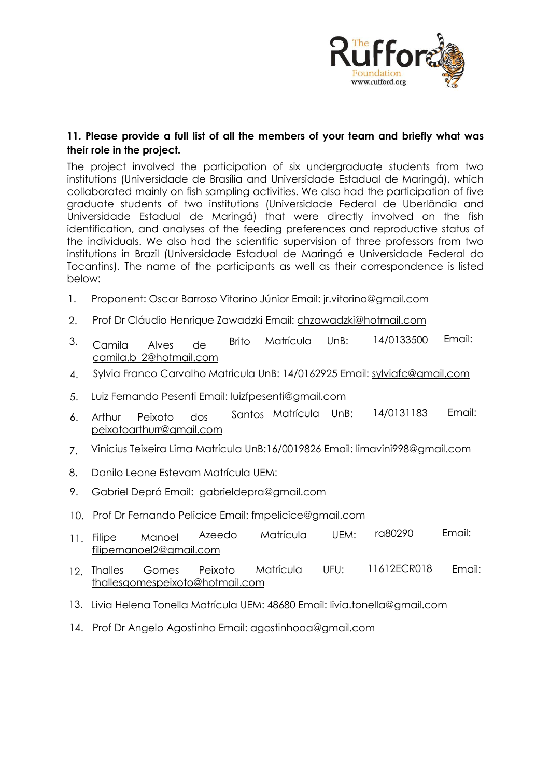

# **11. Please provide a full list of all the members of your team and briefly what was their role in the project.**

The project involved the participation of six undergraduate students from two institutions (Universidade de Brasília and Universidade Estadual de Maringá), which collaborated mainly on fish sampling activities. We also had the participation of five graduate students of two institutions (Universidade Federal de Uberlândia and Universidade Estadual de Maringá) that were directly involved on the fish identification, and analyses of the feeding preferences and reproductive status of the individuals. We also had the scientific supervision of three professors from two institutions in Brazil (Universidade Estadual de Maringá e Universidade Federal do Tocantins). The name of the participants as well as their correspondence is listed below:

- 1. Proponent: Oscar Barroso Vitorino Júnior Email: jr.vitorino@gmail.com
- 2. Prof Dr Cláudio Henrique Zawadzki Email: chzawadzki@hotmail.com
- 3. Camila Alves de Brito Matrícula UnB: 14/0133500 Email: camila.b\_2@hotmail.com
- 4. Sylvia Franco Carvalho Matricula UnB: 14/0162925 Email: sylviafc@gmail.com
- 5. Luiz Fernando Pesenti Email: luizfpesenti@gmail.com
- 6. Arthur Peixoto dos Santos Matrícula UnB: 14/0131183 Email: peixotoarthurr@gmail.com
- 7. Vinicius Teixeira Lima Matrícula UnB:16/0019826 Email: limavini998@gmail.com
- 8. Danilo Leone Estevam Matrícula UEM:
- 9. Gabriel Deprá Email: gabrieldepra@gmail[.com](mailto:chzawadzki@hotmail.com)
- 10. Prof Dr Fernando Pelicice Email: fmpelicice@gmail.com
- 11. Filipe Manoel [Azeed](mailto:camila.b_2@hotmail.com)o Matrícula UEM: ra80290 Email: filipemanoel2@gmail.com
- 12. T[halles Gomes Peixoto](mailto:peixotoarthurr@gmail.com) Matrícula UFU: 11612ECR018 Email: thallesgomespeixoto@hotmail.com
- 13. Livia Helena Tonella M[atrícula UEM: 48680 Email: liv](mailto:gabrieldepra@gmail.com)ia.tonella@gmail.com
- 14. Prof Dr Angelo Agostinho Email: a[gostinhoaa@gmail.com](mailto:fmpelicice@gmail.com)